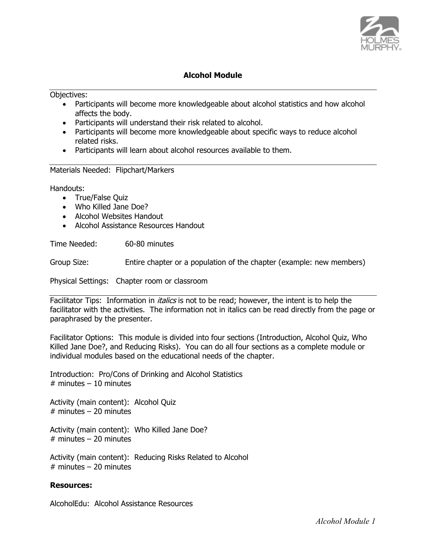

#### **Alcohol Module**

Objectives:

- Participants will become more knowledgeable about alcohol statistics and how alcohol affects the body.
- Participants will understand their risk related to alcohol.
- Participants will become more knowledgeable about specific ways to reduce alcohol related risks.
- Participants will learn about alcohol resources available to them.

Materials Needed: Flipchart/Markers

Handouts:

- True/False Quiz
- Who Killed Jane Doe?
- Alcohol Websites Handout
- Alcohol Assistance Resources Handout

Time Needed: 60-80 minutes

Group Size: Entire chapter or a population of the chapter (example: new members)

Physical Settings: Chapter room or classroom

Facilitator Tips: Information in *italics* is not to be read; however, the intent is to help the facilitator with the activities. The information not in italics can be read directly from the page or paraphrased by the presenter.

Facilitator Options: This module is divided into four sections (Introduction, Alcohol Quiz, Who Killed Jane Doe?, and Reducing Risks). You can do all four sections as a complete module or individual modules based on the educational needs of the chapter.

Introduction: Pro/Cons of Drinking and Alcohol Statistics  $#$  minutes  $-10$  minutes

Activity (main content): Alcohol Quiz  $#$  minutes – 20 minutes

Activity (main content): Who Killed Jane Doe?  $#$  minutes – 20 minutes

Activity (main content): Reducing Risks Related to Alcohol  $#$  minutes – 20 minutes

#### **Resources:**

AlcoholEdu: Alcohol Assistance Resources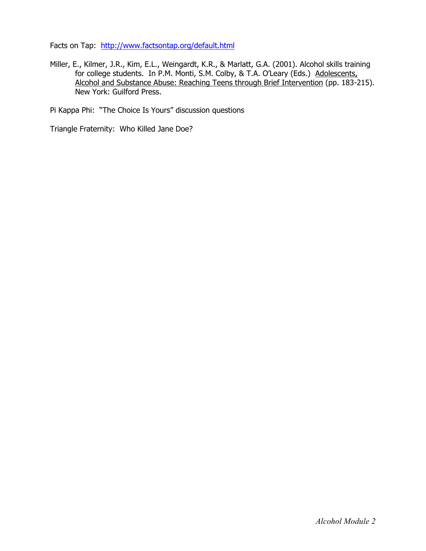Facts on Tap: http://www.factsontap.org/default.html

Miller, E., Kilmer, J.R., Kim, E.L., Weingardt, K.R., & Marlatt, G.A. (2001). Alcohol skills training for college students. In P.M. Monti, S.M. Colby, & T.A. O'Leary (Eds.) Adolescents, Alcohol and Substance Abuse: Reaching Teens through Brief Intervention (pp. 183-215). New York: Guilford Press.

Pi Kappa Phi: "The Choice Is Yours" discussion questions

Triangle Fraternity: Who Killed Jane Doe?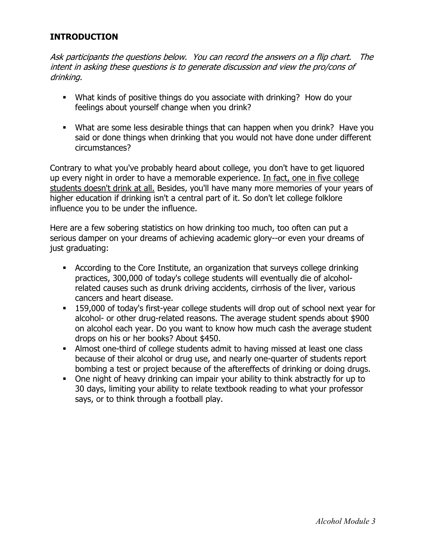# **INTRODUCTION**

Ask participants the questions below. You can record the answers on a flip chart. The intent in asking these questions is to generate discussion and view the pro/cons of drinking.

- What kinds of positive things do you associate with drinking? How do your feelings about yourself change when you drink?
- What are some less desirable things that can happen when you drink? Have you said or done things when drinking that you would not have done under different circumstances?

Contrary to what you've probably heard about college, you don't have to get liquored up every night in order to have a memorable experience. In fact, one in five college students doesn't drink at all. Besides, you'll have many more memories of your years of higher education if drinking isn't a central part of it. So don't let college folklore influence you to be under the influence.

Here are a few sobering statistics on how drinking too much, too often can put a serious damper on your dreams of achieving academic glory--or even your dreams of just graduating:

- According to the Core Institute, an organization that surveys college drinking practices, 300,000 of today's college students will eventually die of alcoholrelated causes such as drunk driving accidents, cirrhosis of the liver, various cancers and heart disease.
- 159,000 of today's first-year college students will drop out of school next year for alcohol- or other drug-related reasons. The average student spends about \$900 on alcohol each year. Do you want to know how much cash the average student drops on his or her books? About \$450.
- Almost one-third of college students admit to having missed at least one class because of their alcohol or drug use, and nearly one-quarter of students report bombing a test or project because of the aftereffects of drinking or doing drugs.
- One night of heavy drinking can impair your ability to think abstractly for up to 30 days, limiting your ability to relate textbook reading to what your professor says, or to think through a football play.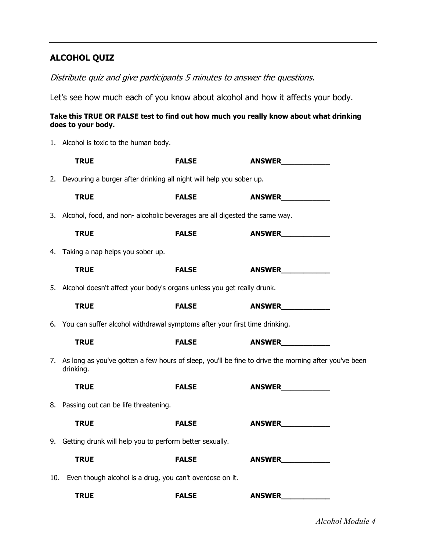# **ALCOHOL QUIZ**

## Distribute quiz and give participants 5 minutes to answer the questions.

Let's see how much each of you know about alcohol and how it affects your body.

#### **Take this TRUE OR FALSE test to find out how much you really know about what drinking does to your body.**

1. Alcohol is toxic to the human body.

|     | <b>TRUE</b>                                                                                                          | <b>FALSE</b> | <b>ANSWER</b> |  |  |
|-----|----------------------------------------------------------------------------------------------------------------------|--------------|---------------|--|--|
|     | 2. Devouring a burger after drinking all night will help you sober up.                                               |              |               |  |  |
|     | <b>TRUE</b>                                                                                                          | <b>FALSE</b> | <b>ANSWER</b> |  |  |
|     | 3. Alcohol, food, and non- alcoholic beverages are all digested the same way.                                        |              |               |  |  |
|     | <b>TRUE</b>                                                                                                          | <b>FALSE</b> | ANSWER        |  |  |
|     | 4. Taking a nap helps you sober up.                                                                                  |              |               |  |  |
|     | <b>TRUE</b>                                                                                                          | <b>FALSE</b> | <b>ANSWER</b> |  |  |
|     | 5. Alcohol doesn't affect your body's organs unless you get really drunk.                                            |              |               |  |  |
|     | <b>TRUE</b>                                                                                                          | <b>FALSE</b> | <b>ANSWER</b> |  |  |
|     | 6. You can suffer alcohol withdrawal symptoms after your first time drinking.                                        |              |               |  |  |
|     | <b>TRUE</b>                                                                                                          | <b>FALSE</b> | <b>ANSWER</b> |  |  |
|     | 7. As long as you've gotten a few hours of sleep, you'll be fine to drive the morning after you've been<br>drinking. |              |               |  |  |
|     | <b>TRUE</b>                                                                                                          | <b>FALSE</b> | <b>ANSWER</b> |  |  |
|     | 8. Passing out can be life threatening.                                                                              |              |               |  |  |
|     | <b>TRUE</b>                                                                                                          | <b>FALSE</b> | ANSWER        |  |  |
|     | 9. Getting drunk will help you to perform better sexually.                                                           |              |               |  |  |
|     | <b>TRUE</b>                                                                                                          | <b>FALSE</b> | <b>ANSWER</b> |  |  |
| 10. | Even though alcohol is a drug, you can't overdose on it.                                                             |              |               |  |  |
|     | <b>TRUE</b>                                                                                                          | <b>FALSE</b> | <b>ANSWER</b> |  |  |

*Alcohol Module 4*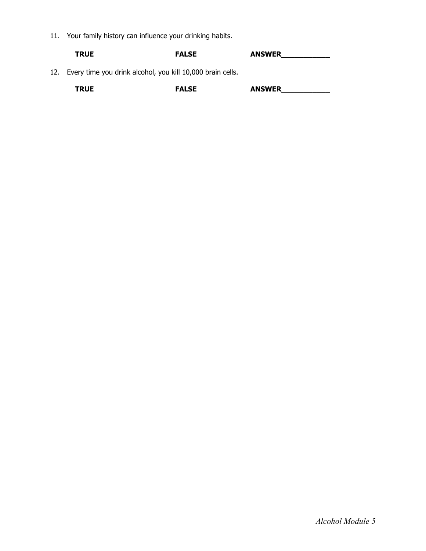11. Your family history can influence your drinking habits.

| <b>TRUE</b>                                                  | <b>FALSE</b> | <b>ANSWER</b> |
|--------------------------------------------------------------|--------------|---------------|
| 12. Even time you driply alcohol you kill 10,000 brain colle |              |               |

12. Every time you drink alcohol, you kill 10,000 brain cells.

| <b>RUE</b><br>________ | FALSE | <b>ANSWER</b><br>$\sim$ |
|------------------------|-------|-------------------------|
|------------------------|-------|-------------------------|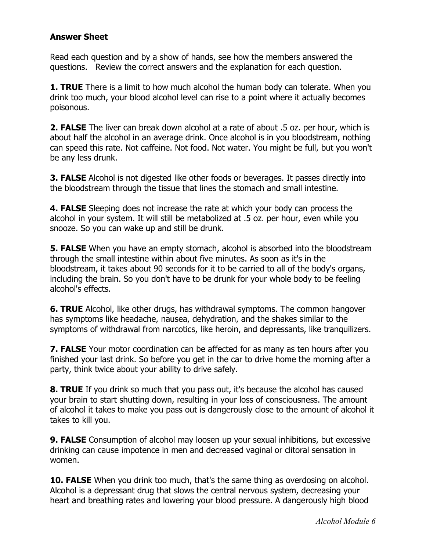## **Answer Sheet**

Read each question and by a show of hands, see how the members answered the questions. Review the correct answers and the explanation for each question.

**1. TRUE** There is a limit to how much alcohol the human body can tolerate. When you drink too much, your blood alcohol level can rise to a point where it actually becomes poisonous.

**2. FALSE** The liver can break down alcohol at a rate of about .5 oz. per hour, which is about half the alcohol in an average drink. Once alcohol is in you bloodstream, nothing can speed this rate. Not caffeine. Not food. Not water. You might be full, but you won't be any less drunk.

**3. FALSE** Alcohol is not digested like other foods or beverages. It passes directly into the bloodstream through the tissue that lines the stomach and small intestine.

**4. FALSE** Sleeping does not increase the rate at which your body can process the alcohol in your system. It will still be metabolized at .5 oz. per hour, even while you snooze. So you can wake up and still be drunk.

**5. FALSE** When you have an empty stomach, alcohol is absorbed into the bloodstream through the small intestine within about five minutes. As soon as it's in the bloodstream, it takes about 90 seconds for it to be carried to all of the body's organs, including the brain. So you don't have to be drunk for your whole body to be feeling alcohol's effects.

**6. TRUE** Alcohol, like other drugs, has withdrawal symptoms. The common hangover has symptoms like headache, nausea, dehydration, and the shakes similar to the symptoms of withdrawal from narcotics, like heroin, and depressants, like tranquilizers.

**7. FALSE** Your motor coordination can be affected for as many as ten hours after you finished your last drink. So before you get in the car to drive home the morning after a party, think twice about your ability to drive safely.

**8. TRUE** If you drink so much that you pass out, it's because the alcohol has caused your brain to start shutting down, resulting in your loss of consciousness. The amount of alcohol it takes to make you pass out is dangerously close to the amount of alcohol it takes to kill you.

**9. FALSE** Consumption of alcohol may loosen up your sexual inhibitions, but excessive drinking can cause impotence in men and decreased vaginal or clitoral sensation in women.

**10. FALSE** When you drink too much, that's the same thing as overdosing on alcohol. Alcohol is a depressant drug that slows the central nervous system, decreasing your heart and breathing rates and lowering your blood pressure. A dangerously high blood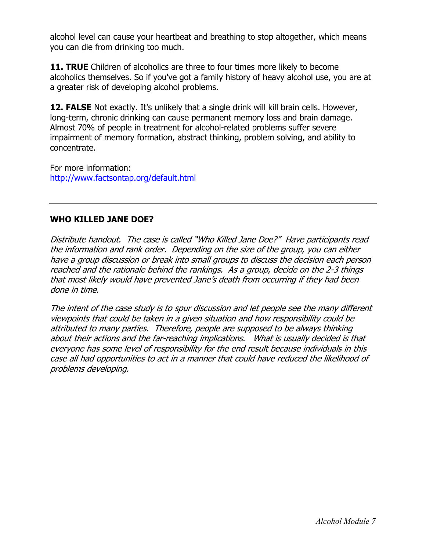alcohol level can cause your heartbeat and breathing to stop altogether, which means you can die from drinking too much.

**11. TRUE** Children of alcoholics are three to four times more likely to become alcoholics themselves. So if you've got a family history of heavy alcohol use, you are at a greater risk of developing alcohol problems.

**12. FALSE** Not exactly. It's unlikely that a single drink will kill brain cells. However, long-term, chronic drinking can cause permanent memory loss and brain damage. Almost 70% of people in treatment for alcohol-related problems suffer severe impairment of memory formation, abstract thinking, problem solving, and ability to concentrate.

For more information: http://www.factsontap.org/default.html

# **WHO KILLED JANE DOE?**

Distribute handout. The case is called "Who Killed Jane Doe?" Have participants read the information and rank order. Depending on the size of the group, you can either have a group discussion or break into small groups to discuss the decision each person reached and the rationale behind the rankings. As a group, decide on the 2-3 things that most likely would have prevented Jane's death from occurring if they had been done in time.

The intent of the case study is to spur discussion and let people see the many different viewpoints that could be taken in a given situation and how responsibility could be attributed to many parties. Therefore, people are supposed to be always thinking about their actions and the far-reaching implications. What is usually decided is that everyone has some level of responsibility for the end result because individuals in this case all had opportunities to act in a manner that could have reduced the likelihood of problems developing.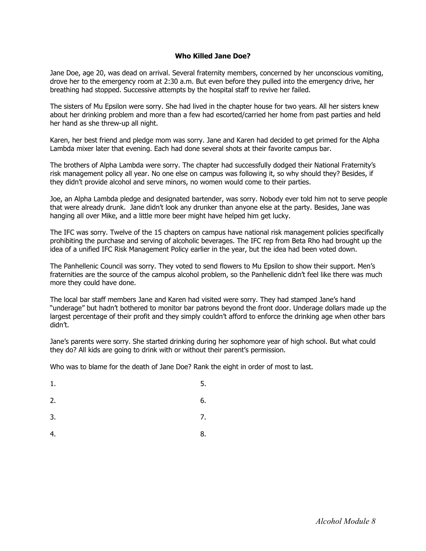#### **Who Killed Jane Doe?**

Jane Doe, age 20, was dead on arrival. Several fraternity members, concerned by her unconscious vomiting, drove her to the emergency room at 2:30 a.m. But even before they pulled into the emergency drive, her breathing had stopped. Successive attempts by the hospital staff to revive her failed.

The sisters of Mu Epsilon were sorry. She had lived in the chapter house for two years. All her sisters knew about her drinking problem and more than a few had escorted/carried her home from past parties and held her hand as she threw-up all night.

Karen, her best friend and pledge mom was sorry. Jane and Karen had decided to get primed for the Alpha Lambda mixer later that evening. Each had done several shots at their favorite campus bar.

The brothers of Alpha Lambda were sorry. The chapter had successfully dodged their National Fraternity's risk management policy all year. No one else on campus was following it, so why should they? Besides, if they didn't provide alcohol and serve minors, no women would come to their parties.

Joe, an Alpha Lambda pledge and designated bartender, was sorry. Nobody ever told him not to serve people that were already drunk. Jane didn't look any drunker than anyone else at the party. Besides, Jane was hanging all over Mike, and a little more beer might have helped him get lucky.

The IFC was sorry. Twelve of the 15 chapters on campus have national risk management policies specifically prohibiting the purchase and serving of alcoholic beverages. The IFC rep from Beta Rho had brought up the idea of a unified IFC Risk Management Policy earlier in the year, but the idea had been voted down.

The Panhellenic Council was sorry. They voted to send flowers to Mu Epsilon to show their support. Men's fraternities are the source of the campus alcohol problem, so the Panhellenic didn't feel like there was much more they could have done.

The local bar staff members Jane and Karen had visited were sorry. They had stamped Jane's hand "underage" but hadn't bothered to monitor bar patrons beyond the front door. Underage dollars made up the largest percentage of their profit and they simply couldn't afford to enforce the drinking age when other bars didn't.

Jane's parents were sorry. She started drinking during her sophomore year of high school. But what could they do? All kids are going to drink with or without their parent's permission.

Who was to blame for the death of Jane Doe? Rank the eight in order of most to last.

- $1.$  5.
- $2.6.$
- $3.$  7.
- $4.$  8.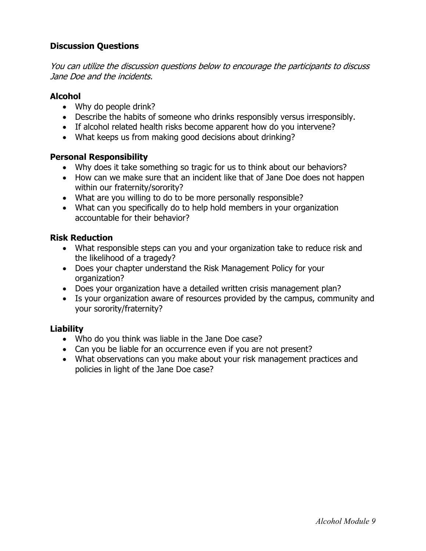# **Discussion Questions**

You can utilize the discussion questions below to encourage the participants to discuss Jane Doe and the incidents.

## **Alcohol**

- Why do people drink?
- Describe the habits of someone who drinks responsibly versus irresponsibly.
- If alcohol related health risks become apparent how do you intervene?
- What keeps us from making good decisions about drinking?

## **Personal Responsibility**

- Why does it take something so tragic for us to think about our behaviors?
- How can we make sure that an incident like that of Jane Doe does not happen within our fraternity/sorority?
- What are you willing to do to be more personally responsible?
- What can you specifically do to help hold members in your organization accountable for their behavior?

## **Risk Reduction**

- What responsible steps can you and your organization take to reduce risk and the likelihood of a tragedy?
- Does your chapter understand the Risk Management Policy for your organization?
- Does your organization have a detailed written crisis management plan?
- Is your organization aware of resources provided by the campus, community and your sorority/fraternity?

## **Liability**

- Who do you think was liable in the Jane Doe case?
- Can you be liable for an occurrence even if you are not present?
- What observations can you make about your risk management practices and policies in light of the Jane Doe case?